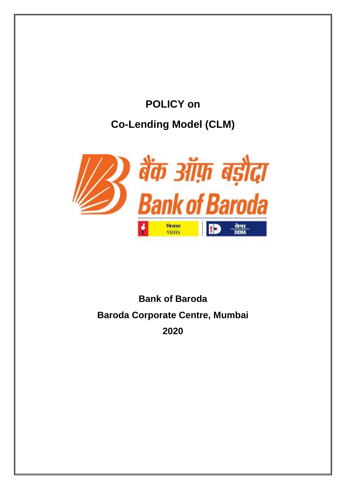# **POLICY on Co-Lending Model (CLM)**



## **Bank of Baroda Baroda Corporate Centre, Mumbai 2020**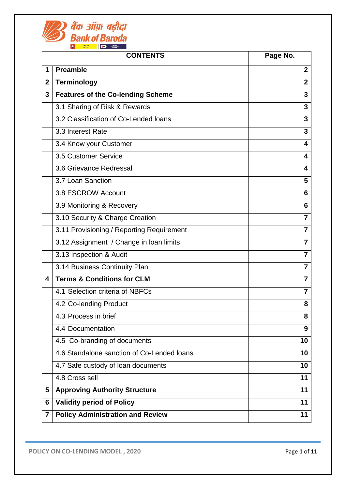

| <b>CONTENTS</b> |                                            | Page No.       |
|-----------------|--------------------------------------------|----------------|
| 1               | <b>Preamble</b>                            | $\overline{2}$ |
| $\mathbf{2}$    | <b>Terminology</b>                         | $\overline{2}$ |
| 3               | <b>Features of the Co-lending Scheme</b>   | 3              |
|                 | 3.1 Sharing of Risk & Rewards              | 3              |
|                 | 3.2 Classification of Co-Lended loans      | $\mathbf{3}$   |
|                 | 3.3 Interest Rate                          | $\overline{3}$ |
|                 | 3.4 Know your Customer                     | 4              |
|                 | 3.5 Customer Service                       | 4              |
|                 | 3.6 Grievance Redressal                    | 4              |
|                 | 3.7 Loan Sanction                          | 5              |
|                 | 3.8 ESCROW Account                         | 6              |
|                 | 3.9 Monitoring & Recovery                  | 6              |
|                 | 3.10 Security & Charge Creation            | $\overline{7}$ |
|                 | 3.11 Provisioning / Reporting Requirement  | 7              |
|                 | 3.12 Assignment / Change in Ioan limits    | $\overline{7}$ |
|                 | 3.13 Inspection & Audit                    | $\overline{7}$ |
|                 | 3.14 Business Continuity Plan              | $\overline{7}$ |
| 4               | <b>Terms &amp; Conditions for CLM</b>      | $\overline{7}$ |
|                 | 4.1 Selection criteria of NBFCs            | $\overline{7}$ |
|                 | 4.2 Co-lending Product                     | 8              |
|                 | 4.3 Process in brief                       | 8              |
|                 | 4.4 Documentation                          | 9              |
|                 | 4.5 Co-branding of documents               | 10             |
|                 | 4.6 Standalone sanction of Co-Lended Ioans | 10             |
|                 | 4.7 Safe custody of loan documents         | 10             |
|                 | 4.8 Cross sell                             | 11             |
| 5               | <b>Approving Authority Structure</b>       | 11             |
| 6               | <b>Validity period of Policy</b>           | 11             |
| 7               | <b>Policy Administration and Review</b>    | 11             |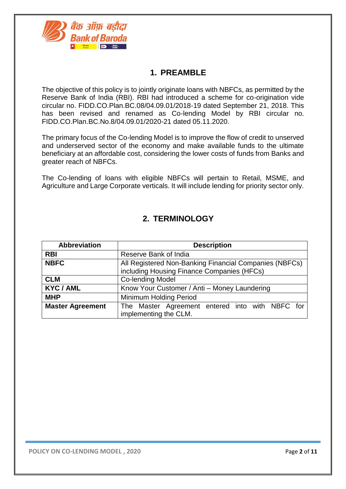

## **1. PREAMBLE**

The objective of this policy is to jointly originate loans with NBFCs, as permitted by the Reserve Bank of India (RBI). RBI had introduced a scheme for co-origination vide circular no. FIDD.CO.Plan.BC.08/04.09.01/2018-19 dated September 21, 2018. This has been revised and renamed as Co-lending Model by RBI circular no. FIDD.CO.Plan.BC.No.8/04.09.01/2020-21 dated 05.11.2020.

The primary focus of the Co-lending Model is to improve the flow of credit to unserved and underserved sector of the economy and make available funds to the ultimate beneficiary at an affordable cost, considering the lower costs of funds from Banks and greater reach of NBFCs.

The Co-lending of loans with eligible NBFCs will pertain to Retail, MSME, and Agriculture and Large Corporate verticals. It will include lending for priority sector only.

## **2. TERMINOLOGY**

| <b>Abbreviation</b>     | <b>Description</b>                                     |  |  |  |
|-------------------------|--------------------------------------------------------|--|--|--|
| <b>RBI</b>              | Reserve Bank of India                                  |  |  |  |
| <b>NBFC</b>             | All Registered Non-Banking Financial Companies (NBFCs) |  |  |  |
|                         | including Housing Finance Companies (HFCs)             |  |  |  |
| <b>CLM</b>              | <b>Co-lending Model</b>                                |  |  |  |
| <b>KYC/AML</b>          | Know Your Customer / Anti - Money Laundering           |  |  |  |
| <b>MHP</b>              | Minimum Holding Period                                 |  |  |  |
| <b>Master Agreement</b> | The Master Agreement entered into with NBFC for        |  |  |  |
|                         | implementing the CLM.                                  |  |  |  |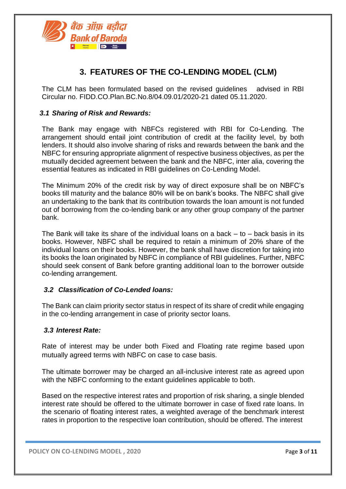

## **3. FEATURES OF THE CO-LENDING MODEL (CLM)**

The CLM has been formulated based on the revised guidelines advised in RBI Circular no. FIDD.CO.Plan.BC.No.8/04.09.01/2020-21 dated 05.11.2020.

#### *3.1 Sharing of Risk and Rewards:*

The Bank may engage with NBFCs registered with RBI for Co-Lending. The arrangement should entail joint contribution of credit at the facility level, by both lenders. It should also involve sharing of risks and rewards between the bank and the NBFC for ensuring appropriate alignment of respective business objectives, as per the mutually decided agreement between the bank and the NBFC, inter alia, covering the essential features as indicated in RBI guidelines on Co-Lending Model.

The Minimum 20% of the credit risk by way of direct exposure shall be on NBFC's books till maturity and the balance 80% will be on bank's books. The NBFC shall give an undertaking to the bank that its contribution towards the loan amount is not funded out of borrowing from the co-lending bank or any other group company of the partner bank.

The Bank will take its share of the individual loans on a back  $-$  to  $-$  back basis in its books. However, NBFC shall be required to retain a minimum of 20% share of the individual loans on their books. However, the bank shall have discretion for taking into its books the loan originated by NBFC in compliance of RBI guidelines. Further, NBFC should seek consent of Bank before granting additional loan to the borrower outside co-lending arrangement.

#### *3.2 Classification of Co-Lended loans:*

The Bank can claim priority sector status in respect of its share of credit while engaging in the co-lending arrangement in case of priority sector loans.

#### *3.3 Interest Rate:*

Rate of interest may be under both Fixed and Floating rate regime based upon mutually agreed terms with NBFC on case to case basis.

The ultimate borrower may be charged an all-inclusive interest rate as agreed upon with the NBFC conforming to the extant guidelines applicable to both.

Based on the respective interest rates and proportion of risk sharing, a single blended interest rate should be offered to the ultimate borrower in case of fixed rate loans. In the scenario of floating interest rates, a weighted average of the benchmark interest rates in proportion to the respective loan contribution, should be offered. The interest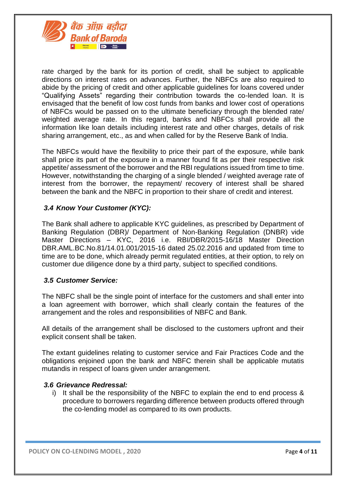

rate charged by the bank for its portion of credit, shall be subject to applicable directions on interest rates on advances. Further, the NBFCs are also required to abide by the pricing of credit and other applicable guidelines for loans covered under "Qualifying Assets" regarding their contribution towards the co-lended loan. It is envisaged that the benefit of low cost funds from banks and lower cost of operations of NBFCs would be passed on to the ultimate beneficiary through the blended rate/ weighted average rate. In this regard, banks and NBFCs shall provide all the information like loan details including interest rate and other charges, details of risk sharing arrangement, etc., as and when called for by the Reserve Bank of India.

The NBFCs would have the flexibility to price their part of the exposure, while bank shall price its part of the exposure in a manner found fit as per their respective risk appetite/ assessment of the borrower and the RBI regulations issued from time to time. However, notwithstanding the charging of a single blended / weighted average rate of interest from the borrower, the repayment/ recovery of interest shall be shared between the bank and the NBFC in proportion to their share of credit and interest.

#### *3.4 Know Your Customer (KYC):*

The Bank shall adhere to applicable KYC guidelines, as prescribed by Department of Banking Regulation (DBR)/ Department of Non-Banking Regulation (DNBR) vide Master Directions – KYC, 2016 i.e. RBI/DBR/2015-16/18 Master Direction DBR.AML.BC.No.81/14.01.001/2015-16 dated 25.02.2016 and updated from time to time are to be done, which already permit regulated entities, at their option, to rely on customer due diligence done by a third party, subject to specified conditions.

#### *3.5 Customer Service:*

The NBFC shall be the single point of interface for the customers and shall enter into a loan agreement with borrower, which shall clearly contain the features of the arrangement and the roles and responsibilities of NBFC and Bank.

All details of the arrangement shall be disclosed to the customers upfront and their explicit consent shall be taken.

The extant guidelines relating to customer service and Fair Practices Code and the obligations enjoined upon the bank and NBFC therein shall be applicable mutatis mutandis in respect of loans given under arrangement.

#### *3.6 Grievance Redressal:*

i) It shall be the responsibility of the NBFC to explain the end to end process & procedure to borrowers regarding difference between products offered through the co-lending model as compared to its own products.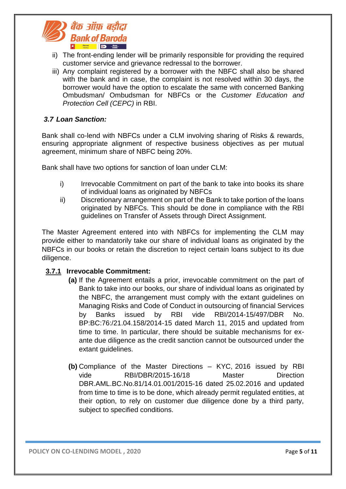

- ii) The front-ending lender will be primarily responsible for providing the required customer service and grievance redressal to the borrower.
- iii) Any complaint registered by a borrower with the NBFC shall also be shared with the bank and in case, the complaint is not resolved within 30 days, the borrower would have the option to escalate the same with concerned Banking Ombudsman/ Ombudsman for NBFCs or the *Customer Education and Protection Cell (CEPC)* in RBI.

#### *3.7 Loan Sanction:*

Bank shall co-lend with NBFCs under a CLM involving sharing of Risks & rewards, ensuring appropriate alignment of respective business objectives as per mutual agreement, minimum share of NBFC being 20%.

Bank shall have two options for sanction of loan under CLM:

- i) Irrevocable Commitment on part of the bank to take into books its share of individual loans as originated by NBFCs
- ii) Discretionary arrangement on part of the Bank to take portion of the loans originated by NBFCs. This should be done in compliance with the RBI guidelines on Transfer of Assets through Direct Assignment.

The Master Agreement entered into with NBFCs for implementing the CLM may provide either to mandatorily take our share of individual loans as originated by the NBFCs in our books or retain the discretion to reject certain loans subject to its due diligence.

#### **3.7.1 Irrevocable Commitment:**

- **(a)** If the Agreement entails a prior, irrevocable commitment on the part of Bank to take into our books, our share of individual loans as originated by the NBFC, the arrangement must comply with the extant guidelines on Managing Risks and Code of Conduct in outsourcing of financial Services by Banks issued by RBI vide RBI/2014-15/497/DBR No. BP:BC:76:/21.04.158/2014-15 dated March 11, 2015 and updated from time to time. In particular, there should be suitable mechanisms for exante due diligence as the credit sanction cannot be outsourced under the extant quidelines.
- **(b)** Compliance of the Master Directions KYC, 2016 issued by RBI vide RBI/DBR/2015-16/18 Master Direction DBR.AML.BC.No.81/14.01.001/2015-16 dated 25.02.2016 and updated from time to time is to be done, which already permit regulated entities, at their option, to rely on customer due diligence done by a third party, subject to specified conditions.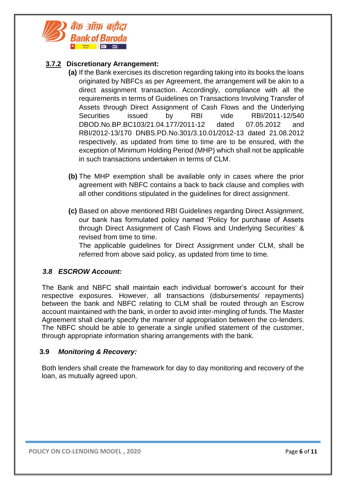

#### **3.7.2 Discretionary Arrangement:**

- **(a)** If the Bank exercises its discretion regarding taking into its books the loans originated by NBFCs as per Agreement, the arrangement will be akin to a direct assignment transaction. Accordingly, compliance with all the requirements in terms of Guidelines on Transactions Involving Transfer of Assets through Direct Assignment of Cash Flows and the Underlying Securities issued by RBI vide RBI/2011-12/540 DBOD.No.BP.BC103/21.04.177/2011-12 dated 07.05.2012 and RBI/2012-13/170 DNBS.PD.No.301/3.10.01/2012-13 dated 21.08.2012 respectively, as updated from time to time are to be ensured, with the exception of Minimum Holding Period (MHP) which shall not be applicable in such transactions undertaken in terms of CLM.
- **(b)** The MHP exemption shall be available only in cases where the prior agreement with NBFC contains a back to back clause and complies with all other conditions stipulated in the guidelines for direct assignment.
- **(c)** Based on above mentioned RBI Guidelines regarding Direct Assignment, our bank has formulated policy named 'Policy for purchase of Assets through Direct Assignment of Cash Flows and Underlying Securities' & revised from time to time.

The applicable guidelines for Direct Assignment under CLM, shall be referred from above said policy, as updated from time to time.

#### *3.8 ESCROW Account:*

The Bank and NBFC shall maintain each individual borrower's account for their respective exposures. However, all transactions (disbursements/ repayments) between the bank and NBFC relating to CLM shall be routed through an Escrow account maintained with the bank, in order to avoid inter-mingling of funds. The Master Agreement shall clearly specify the manner of appropriation between the co-lenders. The NBFC should be able to generate a single unified statement of the customer, through appropriate information sharing arrangements with the bank.

#### **3.9** *Monitoring & Recovery:*

Both lenders shall create the framework for day to day monitoring and recovery of the loan, as mutually agreed upon.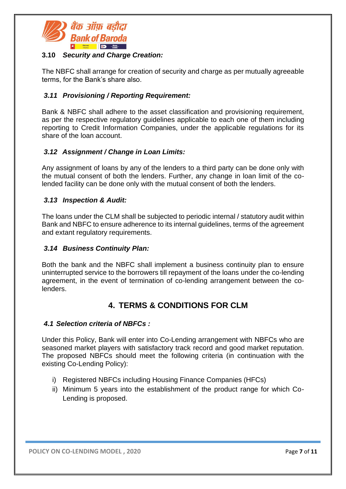

#### **3.10** *Security and Charge Creation:*

The NBFC shall arrange for creation of security and charge as per mutually agreeable terms, for the Bank's share also.

#### *3.11 Provisioning / Reporting Requirement:*

Bank & NBFC shall adhere to the asset classification and provisioning requirement, as per the respective regulatory guidelines applicable to each one of them including reporting to Credit Information Companies, under the applicable regulations for its share of the loan account.

#### *3.12 Assignment / Change in Loan Limits:*

Any assignment of loans by any of the lenders to a third party can be done only with the mutual consent of both the lenders. Further, any change in loan limit of the colended facility can be done only with the mutual consent of both the lenders.

#### *3.13 Inspection & Audit:*

The loans under the CLM shall be subjected to periodic internal / statutory audit within Bank and NBFC to ensure adherence to its internal guidelines, terms of the agreement and extant regulatory requirements.

#### *3.14 Business Continuity Plan:*

Both the bank and the NBFC shall implement a business continuity plan to ensure uninterrupted service to the borrowers till repayment of the loans under the co-lending agreement, in the event of termination of co-lending arrangement between the colenders.

## **4. TERMS & CONDITIONS FOR CLM**

#### *4.1 Selection criteria of NBFCs :*

Under this Policy, Bank will enter into Co-Lending arrangement with NBFCs who are seasoned market players with satisfactory track record and good market reputation. The proposed NBFCs should meet the following criteria (in continuation with the existing Co-Lending Policy):

- i) Registered NBFCs including Housing Finance Companies (HFCs)
- ii) Minimum 5 years into the establishment of the product range for which Co-Lending is proposed.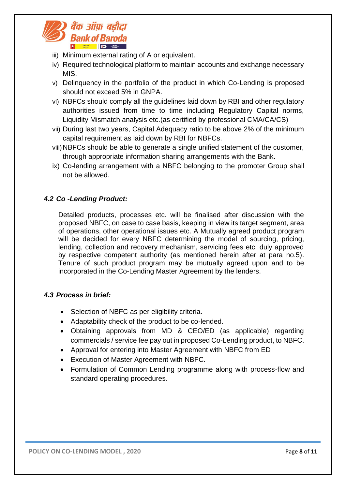

- iii) Minimum external rating of A or equivalent.
- iv) Required technological platform to maintain accounts and exchange necessary MIS.
- v) Delinquency in the portfolio of the product in which Co-Lending is proposed should not exceed 5% in GNPA.
- vi) NBFCs should comply all the guidelines laid down by RBI and other regulatory authorities issued from time to time including Regulatory Capital norms, Liquidity Mismatch analysis etc.(as certified by professional CMA/CA/CS)
- vii) During last two years, Capital Adequacy ratio to be above 2% of the minimum capital requirement as laid down by RBI for NBFCs.
- viii)NBFCs should be able to generate a single unified statement of the customer, through appropriate information sharing arrangements with the Bank.
- ix) Co-lending arrangement with a NBFC belonging to the promoter Group shall not be allowed.

#### *4.2 Co -Lending Product:*

Detailed products, processes etc. will be finalised after discussion with the proposed NBFC, on case to case basis, keeping in view its target segment, area of operations, other operational issues etc. A Mutually agreed product program will be decided for every NBFC determining the model of sourcing, pricing, lending, collection and recovery mechanism, servicing fees etc. duly approved by respective competent authority (as mentioned herein after at para no.5). Tenure of such product program may be mutually agreed upon and to be incorporated in the Co-Lending Master Agreement by the lenders.

#### *4.3 Process in brief:*

- Selection of NBFC as per eligibility criteria.
- Adaptability check of the product to be co-lended.
- Obtaining approvals from MD & CEO/ED (as applicable) regarding commercials / service fee pay out in proposed Co-Lending product, to NBFC.
- Approval for entering into Master Agreement with NBFC from ED
- Execution of Master Agreement with NBFC.
- Formulation of Common Lending programme along with process-flow and standard operating procedures.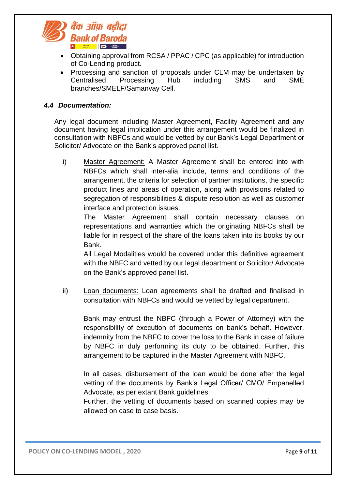

- Obtaining approval from RCSA / PPAC / CPC (as applicable) for introduction of Co-Lending product.
- Processing and sanction of proposals under CLM may be undertaken by Centralised Processing Hub including SMS and SME branches/SMELF/Samanvay Cell.

#### *4.4 Documentation:*

Any legal document including Master Agreement, Facility Agreement and any document having legal implication under this arrangement would be finalized in consultation with NBFCs and would be vetted by our Bank's Legal Department or Solicitor/ Advocate on the Bank's approved panel list.

i) Master Agreement: A Master Agreement shall be entered into with NBFCs which shall inter-alia include, terms and conditions of the arrangement, the criteria for selection of partner institutions, the specific product lines and areas of operation, along with provisions related to segregation of responsibilities & dispute resolution as well as customer interface and protection issues.

The Master Agreement shall contain necessary clauses on representations and warranties which the originating NBFCs shall be liable for in respect of the share of the loans taken into its books by our Bank.

All Legal Modalities would be covered under this definitive agreement with the NBFC and vetted by our legal department or Solicitor/ Advocate on the Bank's approved panel list.

ii) Loan documents: Loan agreements shall be drafted and finalised in consultation with NBFCs and would be vetted by legal department.

Bank may entrust the NBFC (through a Power of Attorney) with the responsibility of execution of documents on bank's behalf. However, indemnity from the NBFC to cover the loss to the Bank in case of failure by NBFC in duly performing its duty to be obtained. Further, this arrangement to be captured in the Master Agreement with NBFC.

In all cases, disbursement of the loan would be done after the legal vetting of the documents by Bank's Legal Officer/ CMO/ Empanelled Advocate, as per extant Bank guidelines.

Further, the vetting of documents based on scanned copies may be allowed on case to case basis.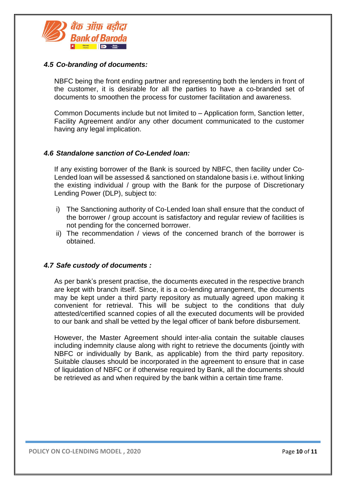

#### *4.5 Co-branding of documents:*

NBFC being the front ending partner and representing both the lenders in front of the customer, it is desirable for all the parties to have a co-branded set of documents to smoothen the process for customer facilitation and awareness.

Common Documents include but not limited to – Application form, Sanction letter, Facility Agreement and/or any other document communicated to the customer having any legal implication.

#### *4.6 Standalone sanction of Co-Lended loan:*

If any existing borrower of the Bank is sourced by NBFC, then facility under Co-Lended loan will be assessed & sanctioned on standalone basis i.e. without linking the existing individual / group with the Bank for the purpose of Discretionary Lending Power (DLP), subject to:

- i) The Sanctioning authority of Co-Lended loan shall ensure that the conduct of the borrower / group account is satisfactory and regular review of facilities is not pending for the concerned borrower.
- ii) The recommendation / views of the concerned branch of the borrower is obtained.

#### *4.7 Safe custody of documents :*

As per bank's present practise, the documents executed in the respective branch are kept with branch itself. Since, it is a co-lending arrangement, the documents may be kept under a third party repository as mutually agreed upon making it convenient for retrieval. This will be subject to the conditions that duly attested/certified scanned copies of all the executed documents will be provided to our bank and shall be vetted by the legal officer of bank before disbursement.

However, the Master Agreement should inter-alia contain the suitable clauses including indemnity clause along with right to retrieve the documents (jointly with NBFC or individually by Bank, as applicable) from the third party repository. Suitable clauses should be incorporated in the agreement to ensure that in case of liquidation of NBFC or if otherwise required by Bank, all the documents should be retrieved as and when required by the bank within a certain time frame.